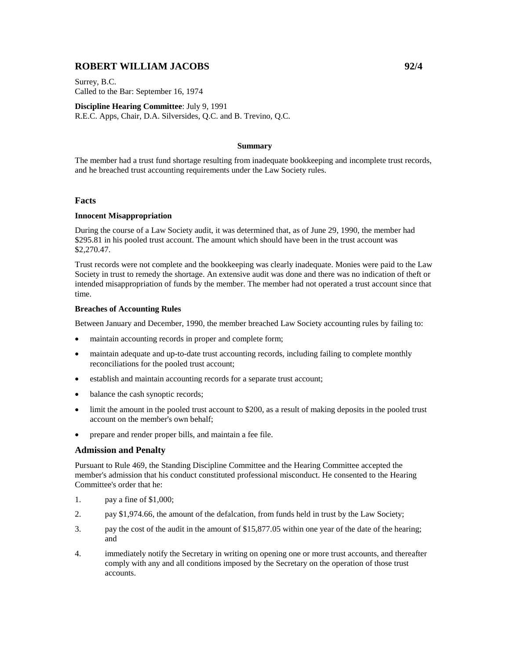# **ROBERT WILLIAM JACOBS 92/4**

Surrey, B.C. Called to the Bar: September 16, 1974

**Discipline Hearing Committee**: July 9, 1991 R.E.C. Apps, Chair, D.A. Silversides, Q.C. and B. Trevino, Q.C.

# **Summary**

The member had a trust fund shortage resulting from inadequate bookkeeping and incomplete trust records, and he breached trust accounting requirements under the Law Society rules.

### **Facts**

## **Innocent Misappropriation**

During the course of a Law Society audit, it was determined that, as of June 29, 1990, the member had \$295.81 in his pooled trust account. The amount which should have been in the trust account was \$2,270.47.

Trust records were not complete and the bookkeeping was clearly inadequate. Monies were paid to the Law Society in trust to remedy the shortage. An extensive audit was done and there was no indication of theft or intended misappropriation of funds by the member. The member had not operated a trust account since that time.

#### **Breaches of Accounting Rules**

Between January and December, 1990, the member breached Law Society accounting rules by failing to:

- maintain accounting records in proper and complete form;
- maintain adequate and up-to-date trust accounting records, including failing to complete monthly reconciliations for the pooled trust account;
- establish and maintain accounting records for a separate trust account;
- balance the cash synoptic records;
- limit the amount in the pooled trust account to \$200, as a result of making deposits in the pooled trust account on the member's own behalf;
- prepare and render proper bills, and maintain a fee file.

# **Admission and Penalty**

Pursuant to Rule 469, the Standing Discipline Committee and the Hearing Committee accepted the member's admission that his conduct constituted professional misconduct. He consented to the Hearing Committee's order that he:

- 1. pay a fine of \$1,000;
- 2. pay \$1,974.66, the amount of the defalcation, from funds held in trust by the Law Society;
- 3. pay the cost of the audit in the amount of \$15,877.05 within one year of the date of the hearing; and
- 4. immediately notify the Secretary in writing on opening one or more trust accounts, and thereafter comply with any and all conditions imposed by the Secretary on the operation of those trust accounts.